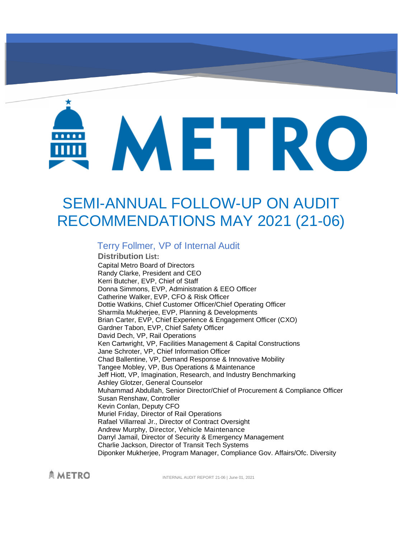# METRO

# SEMI-ANNUAL FOLLOW-UP ON AUDIT RECOMMENDATIONS MAY 2021 (21-06)

# Terry Follmer, VP of Internal Audit

**Distribution List:** Capital Metro Board of Directors Randy Clarke, President and CEO Kerri Butcher, EVP, Chief of Staff Donna Simmons, EVP, Administration & EEO Officer Catherine Walker, EVP, CFO & Risk Officer Dottie Watkins, Chief Customer Officer/Chief Operating Officer Sharmila Mukherjee, EVP, Planning & Developments Brian Carter, EVP, Chief Experience & Engagement Officer (CXO) Gardner Tabon, EVP, Chief Safety Officer David Dech, VP, Rail Operations Ken Cartwright, VP, Facilities Management & Capital Constructions Jane Schroter, VP, Chief Information Officer Chad Ballentine, VP, Demand Response & Innovative Mobility Tangee Mobley, VP, Bus Operations & Maintenance Jeff Hiott, VP, Imagination, Research, and Industry Benchmarking Ashley Glotzer, General Counselor Muhammad Abdullah, Senior Director/Chief of Procurement & Compliance Officer Susan Renshaw, Controller Kevin Conlan, Deputy CFO Muriel Friday, Director of Rail Operations Rafael Villarreal Jr., Director of Contract Oversight Andrew Murphy, Director, Vehicle Maintenance Darryl Jamail, Director of Security & Emergency Management Charlie Jackson, Director of Transit Tech Systems Diponker Mukherjee, Program Manager, Compliance Gov. Affairs/Ofc. Diversity

**AMETRO** 

INTERNAL AUDIT REPORT 21-06 | June 01, 2021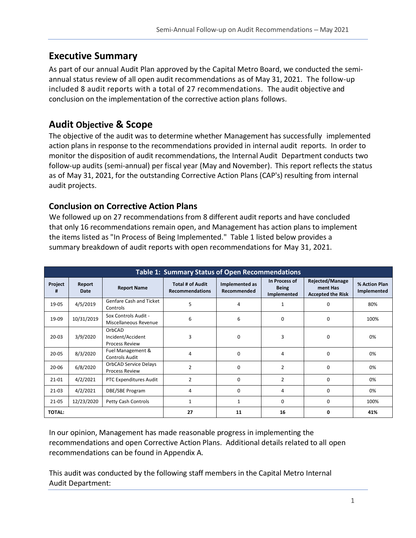# **Executive Summary**

As part of our annual Audit Plan approved by the Capital Metro Board, we conducted the semiannual status review of all open audit recommendations as of May 31, 2021. The follow-up included 8 audit reports with a total of 27 recommendations. The audit objective and conclusion on the implementation of the corrective action plans follows.

# **Audit Objective & Scope**

The objective of the audit was to determine whether Management has successfully implemented action plans in response to the recommendations provided in internal audit reports. In order to monitor the disposition of audit recommendations, the Internal Audit Department conducts two follow-up audits (semi-annual) per fiscal year (May and November). This report reflects the status as of May 31, 2021, for the outstanding Corrective Action Plans (CAP's) resulting from internal audit projects.

### **Conclusion on Corrective Action Plans**

We followed up on 27 recommendations from 8 different audit reports and have concluded that only 16 recommendations remain open, and Management has action plans to implement the items listed as "In Process of Being Implemented." Table 1 listed below provides a summary breakdown of audit reports with open recommendations for May 31, 2021.

| <b>Table 1: Summary Status of Open Recommendations</b> |                |                                                       |                                                   |                                      |                                              |                                                                |                              |
|--------------------------------------------------------|----------------|-------------------------------------------------------|---------------------------------------------------|--------------------------------------|----------------------------------------------|----------------------------------------------------------------|------------------------------|
| Project<br>#                                           | Report<br>Date | <b>Report Name</b>                                    | <b>Total # of Audit</b><br><b>Recommendations</b> | Implemented as<br><b>Recommended</b> | In Process of<br><b>Being</b><br>Implemented | <b>Rejected/Manage</b><br>ment Has<br><b>Accepted the Risk</b> | % Action Plan<br>Implemented |
| 19-05                                                  | 4/5/2019       | Genfare Cash and Ticket<br>Controls                   | 5                                                 | 4                                    |                                              | $\Omega$                                                       | 80%                          |
| 19-09                                                  | 10/31/2019     | Sox Controls Audit -<br>Miscellaneous Revenue         | 6                                                 | 6                                    | $\Omega$                                     | $\Omega$                                                       | 100%                         |
| $20 - 03$                                              | 3/9/2020       | OrbCAD<br>Incident/Accident<br><b>Process Review</b>  | 3                                                 | 0                                    | 3                                            | 0                                                              | 0%                           |
| $20 - 05$                                              | 8/3/2020       | Fuel Management &<br><b>Controls Audit</b>            | 4                                                 | $\Omega$                             | 4                                            | $\Omega$                                                       | 0%                           |
| $20 - 06$                                              | 6/8/2020       | <b>OrbCAD Service Delays</b><br><b>Process Review</b> | $\overline{2}$                                    | 0                                    | $\overline{2}$                               | $\Omega$                                                       | 0%                           |
| $21 - 01$                                              | 4/2/2021       | PTC Expenditures Audit                                | $\overline{2}$                                    | $\Omega$                             | $\overline{2}$                               | $\Omega$                                                       | 0%                           |
| $21-03$                                                | 4/2/2021       | DBE/SBE Program                                       | 4                                                 | 0                                    | 4                                            | $\Omega$                                                       | 0%                           |
| $21 - 05$                                              | 12/23/2020     | Petty Cash Controls                                   |                                                   | $\mathbf{1}$                         | $\Omega$                                     | $\Omega$                                                       | 100%                         |
| <b>TOTAL:</b>                                          |                |                                                       | 27                                                | 11                                   | 16                                           | ŋ                                                              | 41%                          |

In our opinion, Management has made reasonable progress in implementing the recommendations and open Corrective Action Plans. Additional details related to all open recommendations can be found in Appendix A.

This audit was conducted by the following staff members in the Capital Metro Internal Audit Department: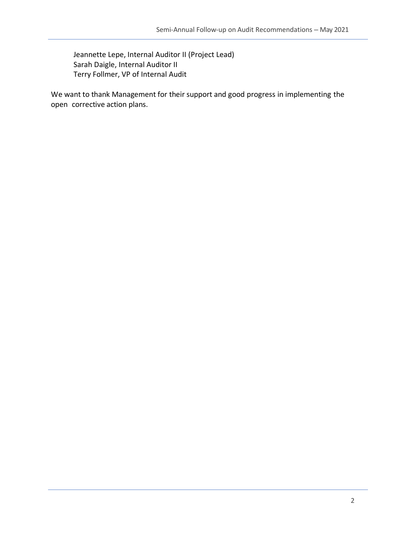Jeannette Lepe, Internal Auditor II (Project Lead) Sarah Daigle, Internal Auditor II Terry Follmer, VP of Internal Audit

We want to thank Management for their support and good progress in implementing the open corrective action plans.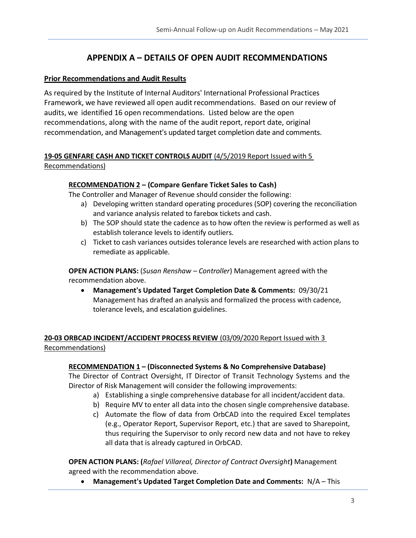## **APPENDIX A – DETAILS OF OPEN AUDIT RECOMMENDATIONS**

#### **Prior Recommendations and Audit Results**

As required by the Institute of Internal Auditors' International Professional Practices Framework, we have reviewed all open audit recommendations. Based on our review of audits, we identified 16 open recommendations. Listed below are the open recommendations, along with the name of the audit report, report date, original recommendation, and Management's updated target completion date and comments.

#### **19-05 GENFARE CASH AND TICKET CONTROLS AUDIT** (4/5/2019 Report Issued with 5 Recommendations)

#### **RECOMMENDATION 2 – (Compare Genfare Ticket Sales to Cash)**

The Controller and Manager of Revenue should consider the following:

- a) Developing written standard operating procedures (SOP) covering the reconciliation and variance analysis related to farebox tickets and cash.
- b) The SOP should state the cadence as to how often the review is performed as well as establish tolerance levels to identify outliers.
- c) Ticket to cash variances outsides tolerance levels are researched with action plans to remediate as applicable.

**OPEN ACTION PLANS:** (*Susan Renshaw – Controller*) Management agreed with the recommendation above.

• **Management's Updated Target Completion Date & Comments:** 09/30/21 Management has drafted an analysis and formalized the process with cadence, tolerance levels, and escalation guidelines.

#### **20-03 ORBCAD INCIDENT/ACCIDENT PROCESS REVIEW** (03/09/2020 Report Issued with 3 Recommendations)

#### **RECOMMENDATION 1 – (Disconnected Systems & No Comprehensive Database)**

The Director of Contract Oversight, IT Director of Transit Technology Systems and the Director of Risk Management will consider the following improvements:

- a) Establishing a single comprehensive database for all incident/accident data.
- b) Require MV to enter all data into the chosen single comprehensive database.
- c) Automate the flow of data from OrbCAD into the required Excel templates (e.g., Operator Report, Supervisor Report, etc.) that are saved to Sharepoint, thus requiring the Supervisor to only record new data and not have to rekey all data that is already captured in OrbCAD.

**OPEN ACTION PLANS: (***Rafael Villareal, Director of Contract Oversight***)** Management agreed with the recommendation above.

• **Management's Updated Target Completion Date and Comments:** N/A – This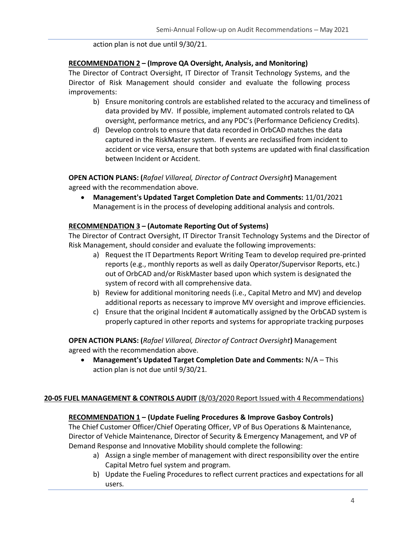action plan is not due until 9/30/21.

#### **RECOMMENDATION 2 – (Improve QA Oversight, Analysis, and Monitoring)**

The Director of Contract Oversight, IT Director of Transit Technology Systems, and the Director of Risk Management should consider and evaluate the following process improvements:

- b) Ensure monitoring controls are established related to the accuracy and timeliness of data provided by MV. If possible, implement automated controls related to QA oversight, performance metrics, and any PDC's (Performance Deficiency Credits).
- d) Develop controls to ensure that data recorded in OrbCAD matches the data captured in the RiskMaster system. If events are reclassified from incident to accident or vice versa, ensure that both systems are updated with final classification between Incident or Accident.

**OPEN ACTION PLANS: (***Rafael Villareal, Director of Contract Oversight***)** Management agreed with the recommendation above.

• **Management's Updated Target Completion Date and Comments:** 11/01/2021 Management is in the process of developing additional analysis and controls.

#### **RECOMMENDATION 3 – (Automate Reporting Out of Systems)**

The Director of Contract Oversight, IT Director Transit Technology Systems and the Director of Risk Management, should consider and evaluate the following improvements:

- a) Request the IT Departments Report Writing Team to develop required pre-printed reports (e.g., monthly reports as well as daily Operator/Supervisor Reports, etc.) out of OrbCAD and/or RiskMaster based upon which system is designated the system of record with all comprehensive data.
- b) Review for additional monitoring needs (i.e., Capital Metro and MV) and develop additional reports as necessary to improve MV oversight and improve efficiencies.
- c) Ensure that the original Incident # automatically assigned by the OrbCAD system is properly captured in other reports and systems for appropriate tracking purposes

**OPEN ACTION PLANS: (***Rafael Villareal, Director of Contract Oversight***)** Management agreed with the recommendation above.

• **Management's Updated Target Completion Date and Comments:** N/A – This action plan is not due until 9/30/21.

#### **20-05 FUEL MANAGEMENT & CONTROLS AUDIT** (8/03/2020 Report Issued with 4 Recommendations)

#### **RECOMMENDATION 1 – (Update Fueling Procedures & Improve Gasboy Controls)**

The Chief Customer Officer/Chief Operating Officer, VP of Bus Operations & Maintenance, Director of Vehicle Maintenance, Director of Security & Emergency Management, and VP of Demand Response and Innovative Mobility should complete the following:

- a) Assign a single member of management with direct responsibility over the entire Capital Metro fuel system and program.
- b) Update the Fueling Procedures to reflect current practices and expectations for all users.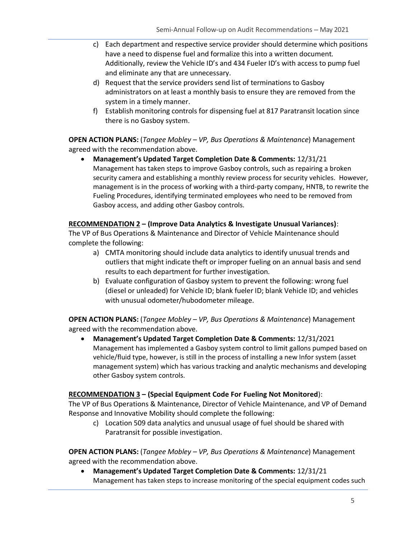- c) Each department and respective service provider should determine which positions have a need to dispense fuel and formalize this into a written document. Additionally, review the Vehicle ID's and 434 Fueler ID's with access to pump fuel and eliminate any that are unnecessary.
- d) Request that the service providers send list of terminations to Gasboy administrators on at least a monthly basis to ensure they are removed from the system in a timely manner.
- f) Establish monitoring controls for dispensing fuel at 817 Paratransit location since there is no Gasboy system.

**OPEN ACTION PLANS:** (*Tangee Mobley – VP, Bus Operations & Maintenance*) Management agreed with the recommendation above.

• **Management's Updated Target Completion Date & Comments:** 12/31/21 Management has taken steps to improve Gasboy controls, such as repairing a broken security camera and establishing a monthly review process for security vehicles. However, management is in the process of working with a third-party company, HNTB, to rewrite the Fueling Procedures, identifying terminated employees who need to be removed from Gasboy access, and adding other Gasboy controls.

#### **RECOMMENDATION 2 – (Improve Data Analytics & Investigate Unusual Variances)**:

The VP of Bus Operations & Maintenance and Director of Vehicle Maintenance should complete the following:

- a) CMTA monitoring should include data analytics to identify unusual trends and outliers that might indicate theft or improper fueling on an annual basis and send results to each department for further investigation.
- b) Evaluate configuration of Gasboy system to prevent the following: wrong fuel (diesel or unleaded) for Vehicle ID; blank fueler ID; blank Vehicle ID; and vehicles with unusual odometer/hubodometer mileage.

**OPEN ACTION PLANS:** (*Tangee Mobley – VP, Bus Operations & Maintenance*) Management agreed with the recommendation above.

• **Management's Updated Target Completion Date & Comments:** 12/31/2021 Management has implemented a Gasboy system control to limit gallons pumped based on vehicle/fluid type, however, is still in the process of installing a new Infor system (asset management system) which has various tracking and analytic mechanisms and developing other Gasboy system controls.

#### **RECOMMENDATION 3 – (Special Equipment Code For Fueling Not Monitored**):

The VP of Bus Operations & Maintenance, Director of Vehicle Maintenance, and VP of Demand Response and Innovative Mobility should complete the following:

c) Location 509 data analytics and unusual usage of fuel should be shared with Paratransit for possible investigation.

**OPEN ACTION PLANS:** (*Tangee Mobley – VP, Bus Operations & Maintenance*) Management agreed with the recommendation above.

• **Management's Updated Target Completion Date & Comments:** 12/31/21 Management has taken steps to increase monitoring of the special equipment codes such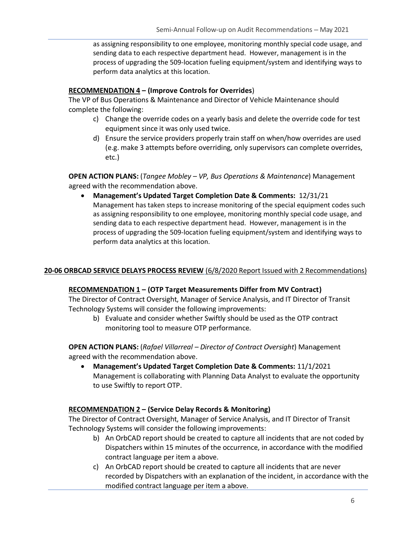as assigning responsibility to one employee, monitoring monthly special code usage, and sending data to each respective department head. However, management is in the process of upgrading the 509-location fueling equipment/system and identifying ways to perform data analytics at this location.

#### **RECOMMENDATION 4 – (Improve Controls for Overrides**)

The VP of Bus Operations & Maintenance and Director of Vehicle Maintenance should complete the following:

- c) Change the override codes on a yearly basis and delete the override code for test equipment since it was only used twice.
- d) Ensure the service providers properly train staff on when/how overrides are used (e.g. make 3 attempts before overriding, only supervisors can complete overrides, etc.)

**OPEN ACTION PLANS:** (*Tangee Mobley – VP, Bus Operations & Maintenance*) Management agreed with the recommendation above.

• **Management's Updated Target Completion Date & Comments:** 12/31/21 Management has taken steps to increase monitoring of the special equipment codes such as assigning responsibility to one employee, monitoring monthly special code usage, and sending data to each respective department head. However, management is in the process of upgrading the 509-location fueling equipment/system and identifying ways to perform data analytics at this location.

#### 20-06 ORBCAD SERVICE DELAYS PROCESS REVIEW (6/8/2020 Report Issued with 2 Recommendations)

#### **RECOMMENDATION 1 – (OTP Target Measurements Differ from MV Contract)**

The Director of Contract Oversight, Manager of Service Analysis, and IT Director of Transit Technology Systems will consider the following improvements:

b) Evaluate and consider whether Swiftly should be used as the OTP contract monitoring tool to measure OTP performance.

**OPEN ACTION PLANS:** (*Rafael Villarreal – Director of Contract Oversight*) Management agreed with the recommendation above.

• **Management's Updated Target Completion Date & Comments:** 11/1/2021 Management is collaborating with Planning Data Analyst to evaluate the opportunity to use Swiftly to report OTP.

#### **RECOMMENDATION 2 – (Service Delay Records & Monitoring)**

The Director of Contract Oversight, Manager of Service Analysis, and IT Director of Transit Technology Systems will consider the following improvements:

- b) An OrbCAD report should be created to capture all incidents that are not coded by Dispatchers within 15 minutes of the occurrence, in accordance with the modified contract language per item a above.
- c) An OrbCAD report should be created to capture all incidents that are never recorded by Dispatchers with an explanation of the incident, in accordance with the modified contract language per item a above.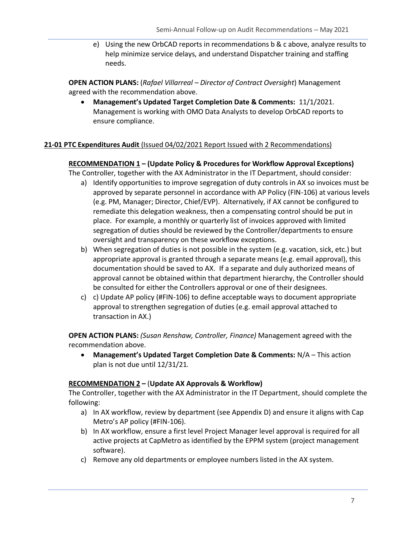e) Using the new OrbCAD reports in recommendations b & c above, analyze results to help minimize service delays, and understand Dispatcher training and staffing needs.

**OPEN ACTION PLANS:** (*Rafael Villarreal – Director of Contract Oversight*) Management agreed with the recommendation above.

• **Management's Updated Target Completion Date & Comments:** 11/1/2021. Management is working with OMO Data Analysts to develop OrbCAD reports to ensure compliance.

#### **21-01 PTC Expenditures Audit** (Issued 04/02/2021 Report Issued with 2 Recommendations)

#### **RECOMMENDATION 1 – (Update Policy & Procedures for Workflow Approval Exceptions)**

The Controller, together with the AX Administrator in the IT Department, should consider:

- a) Identify opportunities to improve segregation of duty controls in AX so invoices must be approved by separate personnel in accordance with AP Policy (FIN-106) at various levels (e.g. PM, Manager; Director, Chief/EVP). Alternatively, if AX cannot be configured to remediate this delegation weakness, then a compensating control should be put in place. For example, a monthly or quarterly list of invoices approved with limited segregation of duties should be reviewed by the Controller/departments to ensure oversight and transparency on these workflow exceptions.
- b) When segregation of duties is not possible in the system (e.g. vacation, sick, etc.) but appropriate approval is granted through a separate means (e.g. email approval), this documentation should be saved to AX. If a separate and duly authorized means of approval cannot be obtained within that department hierarchy, the Controller should be consulted for either the Controllers approval or one of their designees.
- c) c) Update AP policy (#FIN-106) to define acceptable ways to document appropriate approval to strengthen segregation of duties (e.g. email approval attached to transaction in AX.)

**OPEN ACTION PLANS:** *(Susan Renshaw, Controller, Finance)* Management agreed with the recommendation above.

• **Management's Updated Target Completion Date & Comments:** N/A – This action plan is not due until 12/31/21.

#### **RECOMMENDATION 2 –** (**Update AX Approvals & Workflow)**

The Controller, together with the AX Administrator in the IT Department, should complete the following:

- a) In AX workflow, review by department (see Appendix D) and ensure it aligns with Cap Metro's AP policy (#FIN-106).
- b) In AX workflow, ensure a first level Project Manager level approval is required for all active projects at CapMetro as identified by the EPPM system (project management software).
- c) Remove any old departments or employee numbers listed in the AX system.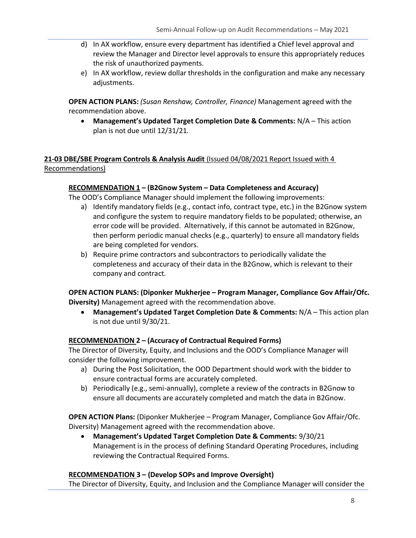- d) In AX workflow, ensure every department has identified a Chief level approval and review the Manager and Director level approvals to ensure this appropriately reduces the risk of unauthorized payments.
- e) In AX workflow, review dollar thresholds in the configuration and make any necessary adjustments.

**OPEN ACTION PLANS:** *(Susan Renshaw, Controller, Finance)* Management agreed with the recommendation above.

• **Management's Updated Target Completion Date & Comments:** N/A – This action plan is not due until 12/31/21.

#### **21-03 DBE/SBE Program Controls & Analysis Audit** (Issued 04/08/2021 Report Issued with 4 Recommendations)

#### **RECOMMENDATION 1 – (B2Gnow System – Data Completeness and Accuracy)**

The OOD's Compliance Manager should implement the following improvements:

- a) Identify mandatory fields (e.g., contact info, contract type, etc.) in the B2Gnow system and configure the system to require mandatory fields to be populated; otherwise, an error code will be provided. Alternatively, if this cannot be automated in B2Gnow, then perform periodic manual checks (e.g., quarterly) to ensure all mandatory fields are being completed for vendors.
- b) Require prime contractors and subcontractors to periodically validate the completeness and accuracy of their data in the B2Gnow, which is relevant to their company and contract.

**OPEN ACTION PLANS: (Diponker Mukherjee – Program Manager, Compliance Gov Affair/Ofc. Diversity)** Management agreed with the recommendation above.

• **Management's Updated Target Completion Date & Comments:** N/A – This action plan is not due until 9/30/21.

#### **RECOMMENDATION 2 – (Accuracy of Contractual Required Forms)**

The Director of Diversity, Equity, and Inclusions and the OOD's Compliance Manager will consider the following improvement.

- a) During the Post Solicitation, the OOD Department should work with the bidder to ensure contractual forms are accurately completed.
- b) Periodically (e.g., semi-annually), complete a review of the contracts in B2Gnow to ensure all documents are accurately completed and match the data in B2Gnow.

**OPEN ACTION Plans:** (Diponker Mukherjee – Program Manager, Compliance Gov Affair/Ofc. Diversity) Management agreed with the recommendation above.

• **Management's Updated Target Completion Date & Comments:** 9/30/21 Management is in the process of defining Standard Operating Procedures, including reviewing the Contractual Required Forms.

#### **RECOMMENDATION 3 – (Develop SOPs and Improve Oversight)**

The Director of Diversity, Equity, and Inclusion and the Compliance Manager will consider the